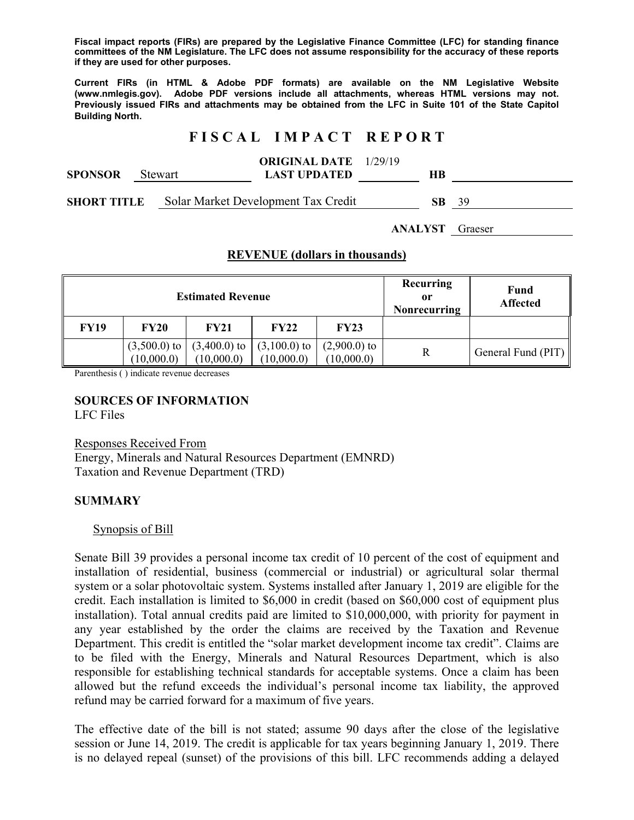**Fiscal impact reports (FIRs) are prepared by the Legislative Finance Committee (LFC) for standing finance committees of the NM Legislature. The LFC does not assume responsibility for the accuracy of these reports if they are used for other purposes.** 

**Current FIRs (in HTML & Adobe PDF formats) are available on the NM Legislative Website (www.nmlegis.gov). Adobe PDF versions include all attachments, whereas HTML versions may not. Previously issued FIRs and attachments may be obtained from the LFC in Suite 101 of the State Capitol Building North.**

# **F I S C A L I M P A C T R E P O R T**

| <b>SPONSOR</b>     | <b>Stewart</b> |  | <b>ORIGINAL DATE</b> 1/29/19<br><b>LAST UPDATED</b> | HВ |     |      |
|--------------------|----------------|--|-----------------------------------------------------|----|-----|------|
| <b>SHORT TITLE</b> |                |  | Solar Market Development Tax Credit                 |    | SB. | - 39 |

**ANALYST** Graeser

### **REVENUE (dollars in thousands)**

| <b>Estimated Revenue</b> |                              |                              |                              |                              | Recurring<br>0r<br><b>Nonrecurring</b> | <b>Fund</b><br><b>Affected</b> |
|--------------------------|------------------------------|------------------------------|------------------------------|------------------------------|----------------------------------------|--------------------------------|
| <b>FY19</b>              | <b>FY20</b>                  | <b>FY21</b>                  | <b>FY22</b>                  | <b>FY23</b>                  |                                        |                                |
|                          | $(3,500.0)$ to<br>(10,000.0) | $(3,400.0)$ to<br>(10,000.0) | $(3,100.0)$ to<br>(10,000.0) | $(2,900.0)$ to<br>(10,000.0) | R                                      | General Fund (PIT) $\parallel$ |

Parenthesis ( ) indicate revenue decreases

# **SOURCES OF INFORMATION**

LFC Files

Responses Received From Energy, Minerals and Natural Resources Department (EMNRD) Taxation and Revenue Department (TRD)

### **SUMMARY**

#### Synopsis of Bill

Senate Bill 39 provides a personal income tax credit of 10 percent of the cost of equipment and installation of residential, business (commercial or industrial) or agricultural solar thermal system or a solar photovoltaic system. Systems installed after January 1, 2019 are eligible for the credit. Each installation is limited to \$6,000 in credit (based on \$60,000 cost of equipment plus installation). Total annual credits paid are limited to \$10,000,000, with priority for payment in any year established by the order the claims are received by the Taxation and Revenue Department. This credit is entitled the "solar market development income tax credit". Claims are to be filed with the Energy, Minerals and Natural Resources Department, which is also responsible for establishing technical standards for acceptable systems. Once a claim has been allowed but the refund exceeds the individual's personal income tax liability, the approved refund may be carried forward for a maximum of five years.

The effective date of the bill is not stated; assume 90 days after the close of the legislative session or June 14, 2019. The credit is applicable for tax years beginning January 1, 2019. There is no delayed repeal (sunset) of the provisions of this bill. LFC recommends adding a delayed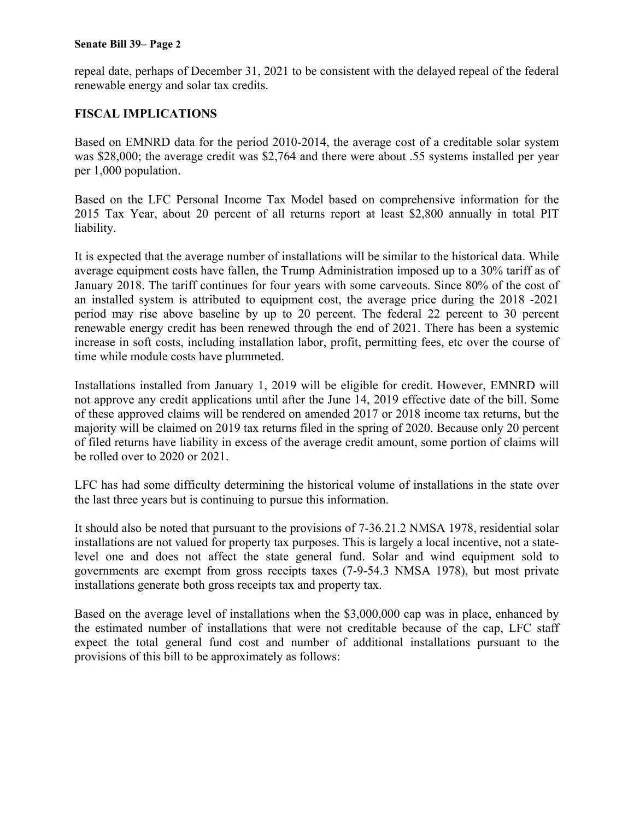#### **Senate Bill 39– Page 2**

repeal date, perhaps of December 31, 2021 to be consistent with the delayed repeal of the federal renewable energy and solar tax credits.

### **FISCAL IMPLICATIONS**

Based on EMNRD data for the period 2010-2014, the average cost of a creditable solar system was \$28,000; the average credit was \$2,764 and there were about .55 systems installed per year per 1,000 population.

Based on the LFC Personal Income Tax Model based on comprehensive information for the 2015 Tax Year, about 20 percent of all returns report at least \$2,800 annually in total PIT liability.

It is expected that the average number of installations will be similar to the historical data. While average equipment costs have fallen, the Trump Administration imposed up to a 30% tariff as of January 2018. The tariff continues for four years with some carveouts. Since 80% of the cost of an installed system is attributed to equipment cost, the average price during the 2018 -2021 period may rise above baseline by up to 20 percent. The federal 22 percent to 30 percent renewable energy credit has been renewed through the end of 2021. There has been a systemic increase in soft costs, including installation labor, profit, permitting fees, etc over the course of time while module costs have plummeted.

Installations installed from January 1, 2019 will be eligible for credit. However, EMNRD will not approve any credit applications until after the June 14, 2019 effective date of the bill. Some of these approved claims will be rendered on amended 2017 or 2018 income tax returns, but the majority will be claimed on 2019 tax returns filed in the spring of 2020. Because only 20 percent of filed returns have liability in excess of the average credit amount, some portion of claims will be rolled over to 2020 or 2021.

LFC has had some difficulty determining the historical volume of installations in the state over the last three years but is continuing to pursue this information.

It should also be noted that pursuant to the provisions of 7-36.21.2 NMSA 1978, residential solar installations are not valued for property tax purposes. This is largely a local incentive, not a statelevel one and does not affect the state general fund. Solar and wind equipment sold to governments are exempt from gross receipts taxes (7-9-54.3 NMSA 1978), but most private installations generate both gross receipts tax and property tax.

Based on the average level of installations when the \$3,000,000 cap was in place, enhanced by the estimated number of installations that were not creditable because of the cap, LFC staff expect the total general fund cost and number of additional installations pursuant to the provisions of this bill to be approximately as follows: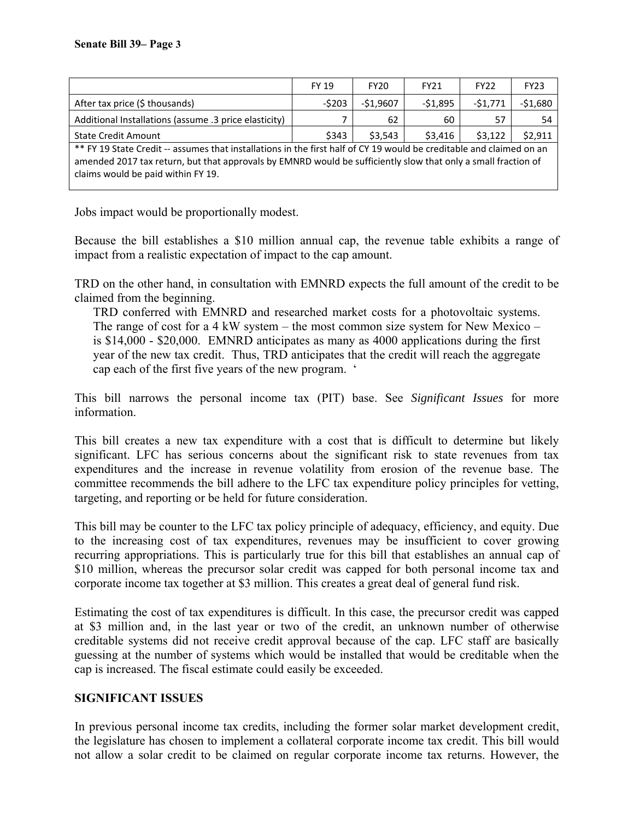|                                                                                                                                                                                                                                       | <b>FY 19</b> | <b>FY20</b> | <b>FY21</b> | FY <sub>22</sub> | <b>FY23</b> |
|---------------------------------------------------------------------------------------------------------------------------------------------------------------------------------------------------------------------------------------|--------------|-------------|-------------|------------------|-------------|
| After tax price (\$ thousands)                                                                                                                                                                                                        | $-5203$      | $-$1,9607$  | $-51,895$   | $-51,771$        | $-51,680$   |
| Additional Installations (assume .3 price elasticity)                                                                                                                                                                                 |              | 62          | 60          | 57               | 54          |
| <b>State Credit Amount</b>                                                                                                                                                                                                            | \$343        | \$3.543     | \$3,416     | \$3,122          | \$2,911     |
| ** FY 19 State Credit -- assumes that installations in the first half of CY 19 would be creditable and claimed on an<br>amended 2017 tax return, but that approvals by EMNRD would be sufficiently slow that only a small fraction of |              |             |             |                  |             |

claims would be paid within FY 19.

Jobs impact would be proportionally modest.

Because the bill establishes a \$10 million annual cap, the revenue table exhibits a range of impact from a realistic expectation of impact to the cap amount.

TRD on the other hand, in consultation with EMNRD expects the full amount of the credit to be claimed from the beginning.

TRD conferred with EMNRD and researched market costs for a photovoltaic systems. The range of cost for a 4 kW system – the most common size system for New Mexico – is \$14,000 - \$20,000. EMNRD anticipates as many as 4000 applications during the first year of the new tax credit. Thus, TRD anticipates that the credit will reach the aggregate cap each of the first five years of the new program. '

This bill narrows the personal income tax (PIT) base. See *Significant Issues* for more information.

This bill creates a new tax expenditure with a cost that is difficult to determine but likely significant. LFC has serious concerns about the significant risk to state revenues from tax expenditures and the increase in revenue volatility from erosion of the revenue base. The committee recommends the bill adhere to the LFC tax expenditure policy principles for vetting, targeting, and reporting or be held for future consideration.

This bill may be counter to the LFC tax policy principle of adequacy, efficiency, and equity. Due to the increasing cost of tax expenditures, revenues may be insufficient to cover growing recurring appropriations. This is particularly true for this bill that establishes an annual cap of \$10 million, whereas the precursor solar credit was capped for both personal income tax and corporate income tax together at \$3 million. This creates a great deal of general fund risk.

Estimating the cost of tax expenditures is difficult. In this case, the precursor credit was capped at \$3 million and, in the last year or two of the credit, an unknown number of otherwise creditable systems did not receive credit approval because of the cap. LFC staff are basically guessing at the number of systems which would be installed that would be creditable when the cap is increased. The fiscal estimate could easily be exceeded.

### **SIGNIFICANT ISSUES**

In previous personal income tax credits, including the former solar market development credit, the legislature has chosen to implement a collateral corporate income tax credit. This bill would not allow a solar credit to be claimed on regular corporate income tax returns. However, the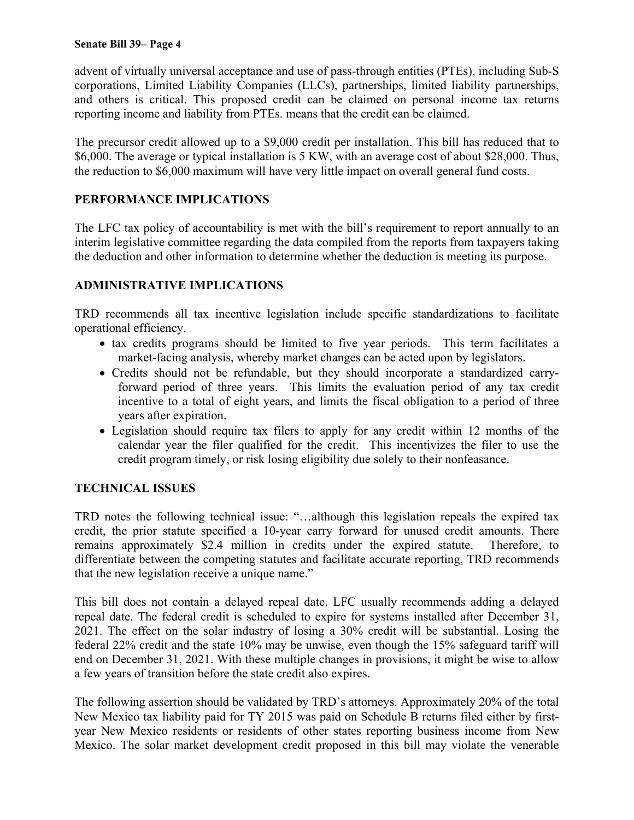advent of virtually universal acceptance and use of pass-through entities (PTEs), including Sub-S corporations, Limited Liability Companies (LLCs), partnerships, limited liability partnerships, and others is critical. This proposed credit can be claimed on personal income tax returns reporting income and liability from PTEs. means that the credit can be claimed.

The precursor credit allowed up to a \$9,000 credit per installation. This bill has reduced that to \$6,000. The average or typical installation is 5 KW, with an average cost of about \$28,000. Thus, the reduction to \$6,000 maximum will have very little impact on overall general fund costs.

# **PERFORMANCE IMPLICATIONS**

The LFC tax policy of accountability is met with the bill's requirement to report annually to an interim legislative committee regarding the data compiled from the reports from taxpayers taking the deduction and other information to determine whether the deduction is meeting its purpose.

# **ADMINISTRATIVE IMPLICATIONS**

TRD recommends all tax incentive legislation include specific standardizations to facilitate operational efficiency.

- tax credits programs should be limited to five year periods. This term facilitates a market-facing analysis, whereby market changes can be acted upon by legislators.
- Credits should not be refundable, but they should incorporate a standardized carryforward period of three years. This limits the evaluation period of any tax credit incentive to a total of eight years, and limits the fiscal obligation to a period of three years after expiration.
- Legislation should require tax filers to apply for any credit within 12 months of the calendar year the filer qualified for the credit. This incentivizes the filer to use the credit program timely, or risk losing eligibility due solely to their nonfeasance.

## **TECHNICAL ISSUES**

TRD notes the following technical issue: "…although this legislation repeals the expired tax credit, the prior statute specified a 10-year carry forward for unused credit amounts. There remains approximately \$2.4 million in credits under the expired statute. Therefore, to differentiate between the competing statutes and facilitate accurate reporting, TRD recommends that the new legislation receive a unique name."

This bill does not contain a delayed repeal date. LFC usually recommends adding a delayed repeal date. The federal credit is scheduled to expire for systems installed after December 31, 2021. The effect on the solar industry of losing a 30% credit will be substantial. Losing the federal 22% credit and the state 10% may be unwise, even though the 15% safeguard tariff will end on December 31, 2021. With these multiple changes in provisions, it might be wise to allow a few years of transition before the state credit also expires.

The following assertion should be validated by TRD's attorneys. Approximately 20% of the total New Mexico tax liability paid for TY 2015 was paid on Schedule B returns filed either by firstyear New Mexico residents or residents of other states reporting business income from New Mexico. The solar market development credit proposed in this bill may violate the venerable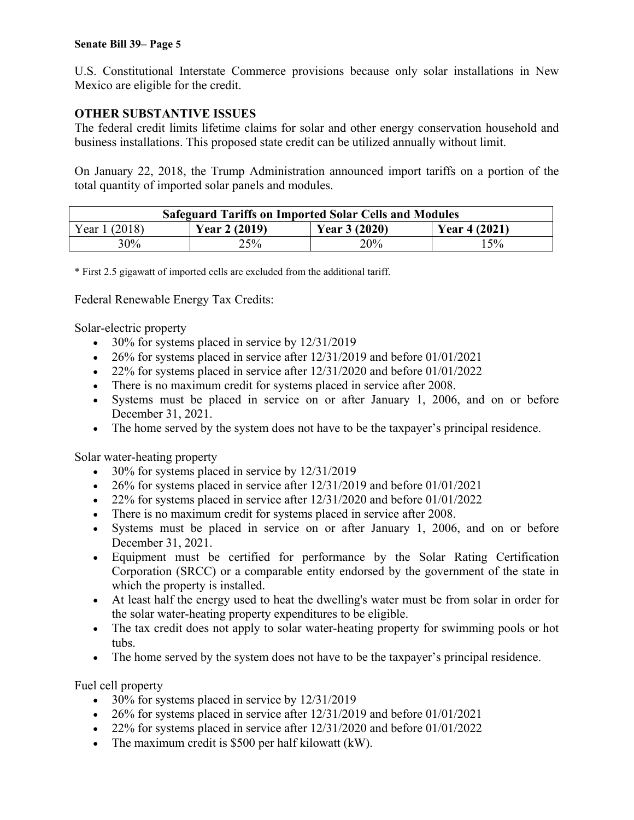#### **Senate Bill 39– Page 5**

U.S. Constitutional Interstate Commerce provisions because only solar installations in New Mexico are eligible for the credit.

### **OTHER SUBSTANTIVE ISSUES**

The federal credit limits lifetime claims for solar and other energy conservation household and business installations. This proposed state credit can be utilized annually without limit.

On January 22, 2018, the Trump Administration announced import tariffs on a portion of the total quantity of imported solar panels and modules.

| <b>Safeguard Tariffs on Imported Solar Cells and Modules</b> |                |                |                |  |
|--------------------------------------------------------------|----------------|----------------|----------------|--|
| Year 1 (2018)                                                | Year $2(2019)$ | Year $3(2020)$ | Year $4(2021)$ |  |
| 30%                                                          | 25%            | 20%            | 15%            |  |

\* First 2.5 gigawatt of imported cells are excluded from the additional tariff.

Federal Renewable Energy Tax Credits:

Solar-electric property

- $\bullet$  30% for systems placed in service by 12/31/2019
- $\bullet$  26% for systems placed in service after 12/31/2019 and before 01/01/2021
- $\bullet$  22% for systems placed in service after 12/31/2020 and before 01/01/2022
- There is no maximum credit for systems placed in service after 2008.
- Systems must be placed in service on or after January 1, 2006, and on or before December 31, 2021.
- The home served by the system does not have to be the taxpayer's principal residence.

Solar water-heating property

- 30% for systems placed in service by  $12/31/2019$
- $\bullet$  26% for systems placed in service after 12/31/2019 and before 01/01/2021
- $\bullet$  22% for systems placed in service after 12/31/2020 and before 01/01/2022
- There is no maximum credit for systems placed in service after 2008.
- Systems must be placed in service on or after January 1, 2006, and on or before December 31, 2021.
- Equipment must be certified for performance by the Solar Rating Certification Corporation (SRCC) or a comparable entity endorsed by the government of the state in which the property is installed.
- At least half the energy used to heat the dwelling's water must be from solar in order for the solar water-heating property expenditures to be eligible.
- The tax credit does not apply to solar water-heating property for swimming pools or hot tubs.
- The home served by the system does not have to be the taxpayer's principal residence.

Fuel cell property

- 30% for systems placed in service by  $12/31/2019$
- $\bullet$  26% for systems placed in service after 12/31/2019 and before 01/01/2021
- 22% for systems placed in service after 12/31/2020 and before 01/01/2022
- The maximum credit is \$500 per half kilowatt (kW).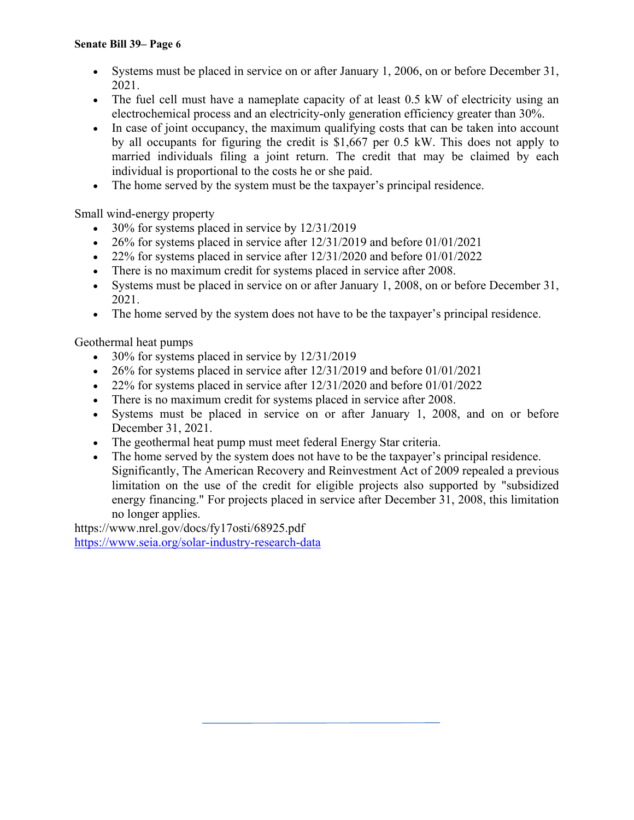- Systems must be placed in service on or after January 1, 2006, on or before December 31, 2021.
- The fuel cell must have a nameplate capacity of at least 0.5 kW of electricity using an electrochemical process and an electricity-only generation efficiency greater than 30%.
- In case of joint occupancy, the maximum qualifying costs that can be taken into account by all occupants for figuring the credit is \$1,667 per 0.5 kW. This does not apply to married individuals filing a joint return. The credit that may be claimed by each individual is proportional to the costs he or she paid.
- The home served by the system must be the taxpayer's principal residence.

Small wind-energy property

- $\bullet$  30% for systems placed in service by 12/31/2019
- $\bullet$  26% for systems placed in service after 12/31/2019 and before 01/01/2021
- 22% for systems placed in service after 12/31/2020 and before 01/01/2022
- There is no maximum credit for systems placed in service after 2008.
- Systems must be placed in service on or after January 1, 2008, on or before December 31, 2021.
- The home served by the system does not have to be the taxpayer's principal residence.

Geothermal heat pumps

- $\bullet$  30% for systems placed in service by 12/31/2019
- $\bullet$  26% for systems placed in service after 12/31/2019 and before 01/01/2021
- $\bullet$  22% for systems placed in service after 12/31/2020 and before 01/01/2022
- There is no maximum credit for systems placed in service after 2008.
- Systems must be placed in service on or after January 1, 2008, and on or before December 31, 2021.
- The geothermal heat pump must meet federal Energy Star criteria.
- The home served by the system does not have to be the taxpayer's principal residence. Significantly, The American Recovery and Reinvestment Act of 2009 repealed a previous limitation on the use of the credit for eligible projects also supported by "subsidized energy financing." For projects placed in service after December 31, 2008, this limitation no longer applies.

https://www.nrel.gov/docs/fy17osti/68925.pdf https://www.seia.org/solar-industry-research-data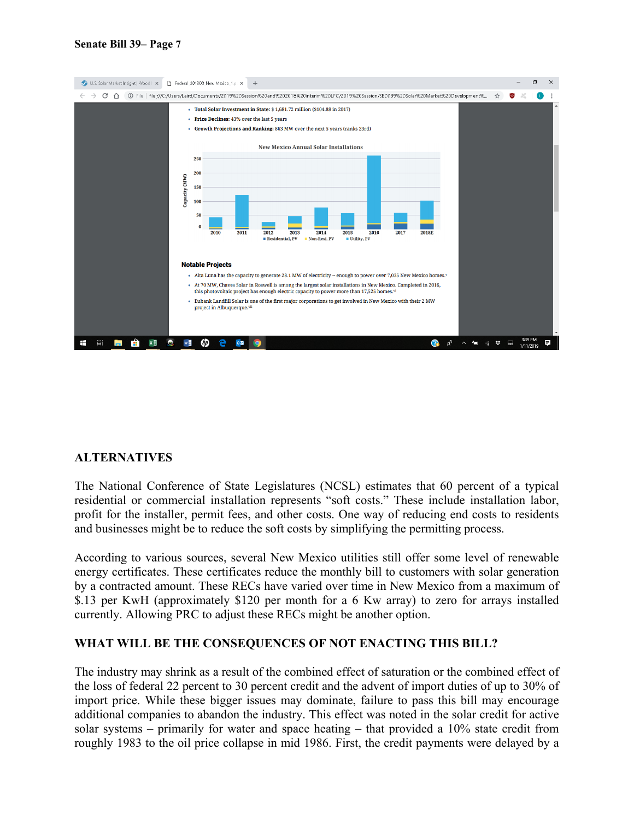

### **ALTERNATIVES**

The National Conference of State Legislatures (NCSL) estimates that 60 percent of a typical residential or commercial installation represents "soft costs." These include installation labor, profit for the installer, permit fees, and other costs. One way of reducing end costs to residents and businesses might be to reduce the soft costs by simplifying the permitting process.

According to various sources, several New Mexico utilities still offer some level of renewable energy certificates. These certificates reduce the monthly bill to customers with solar generation by a contracted amount. These RECs have varied over time in New Mexico from a maximum of \$.13 per KwH (approximately \$120 per month for a 6 Kw array) to zero for arrays installed currently. Allowing PRC to adjust these RECs might be another option.

### **WHAT WILL BE THE CONSEQUENCES OF NOT ENACTING THIS BILL?**

The industry may shrink as a result of the combined effect of saturation or the combined effect of the loss of federal 22 percent to 30 percent credit and the advent of import duties of up to 30% of import price. While these bigger issues may dominate, failure to pass this bill may encourage additional companies to abandon the industry. This effect was noted in the solar credit for active solar systems – primarily for water and space heating – that provided a 10% state credit from roughly 1983 to the oil price collapse in mid 1986. First, the credit payments were delayed by a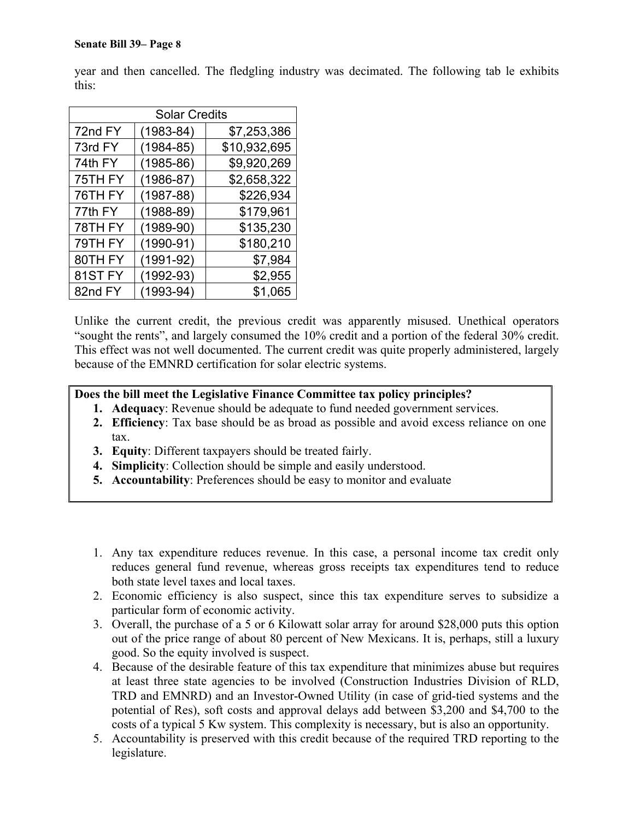year and then cancelled. The fledgling industry was decimated. The following tab le exhibits this:

| <b>Solar Credits</b> |               |              |  |  |
|----------------------|---------------|--------------|--|--|
| 72nd FY              | $(1983 - 84)$ | \$7,253,386  |  |  |
| 73rd FY              | $(1984 - 85)$ | \$10,932,695 |  |  |
| 74th FY              | $(1985 - 86)$ | \$9,920,269  |  |  |
| 75TH FY              | $(1986 - 87)$ | \$2,658,322  |  |  |
| 76TH FY              | $(1987 - 88)$ | \$226,934    |  |  |
| 77th FY              | $(1988-89)$   | \$179,961    |  |  |
| 78TH FY              | $(1989-90)$   | \$135,230    |  |  |
| 79TH FY              | $(1990-91)$   | \$180,210    |  |  |
| 80TH FY              | $(1991 - 92)$ | \$7,984      |  |  |
| 81ST <sub>FY</sub>   | $(1992-93)$   | \$2,955      |  |  |
| 82nd FY              | $(1993 - 94)$ | \$1,065      |  |  |

Unlike the current credit, the previous credit was apparently misused. Unethical operators "sought the rents", and largely consumed the 10% credit and a portion of the federal 30% credit. This effect was not well documented. The current credit was quite properly administered, largely because of the EMNRD certification for solar electric systems.

### **Does the bill meet the Legislative Finance Committee tax policy principles?**

- **1. Adequacy**: Revenue should be adequate to fund needed government services.
- **2. Efficiency**: Tax base should be as broad as possible and avoid excess reliance on one tax.
- **3. Equity**: Different taxpayers should be treated fairly.
- **4. Simplicity**: Collection should be simple and easily understood.
- **5. Accountability**: Preferences should be easy to monitor and evaluate
- 1. Any tax expenditure reduces revenue. In this case, a personal income tax credit only reduces general fund revenue, whereas gross receipts tax expenditures tend to reduce both state level taxes and local taxes.
- 2. Economic efficiency is also suspect, since this tax expenditure serves to subsidize a particular form of economic activity.
- 3. Overall, the purchase of a 5 or 6 Kilowatt solar array for around \$28,000 puts this option out of the price range of about 80 percent of New Mexicans. It is, perhaps, still a luxury good. So the equity involved is suspect.
- 4. Because of the desirable feature of this tax expenditure that minimizes abuse but requires at least three state agencies to be involved (Construction Industries Division of RLD, TRD and EMNRD) and an Investor-Owned Utility (in case of grid-tied systems and the potential of Res), soft costs and approval delays add between \$3,200 and \$4,700 to the costs of a typical 5 Kw system. This complexity is necessary, but is also an opportunity.
- 5. Accountability is preserved with this credit because of the required TRD reporting to the legislature.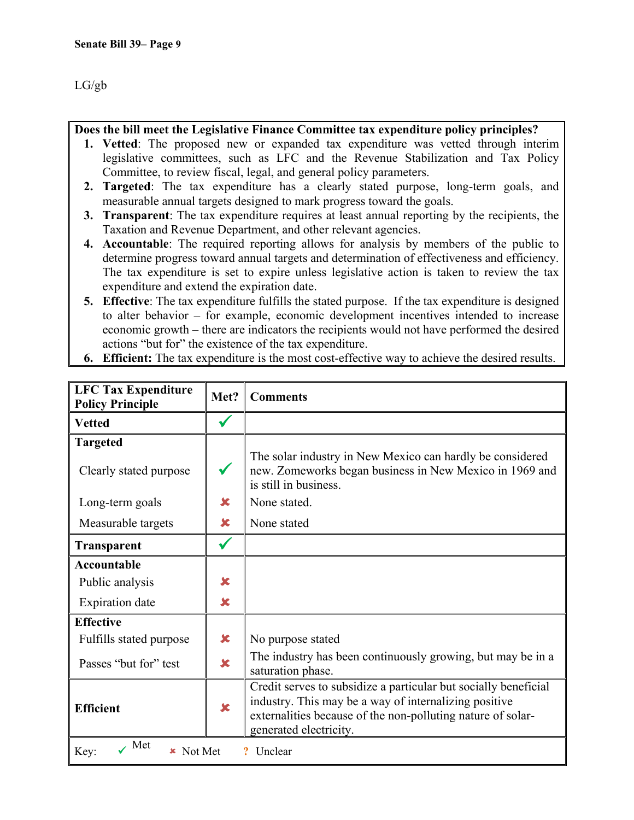### **Does the bill meet the Legislative Finance Committee tax expenditure policy principles?**

- **1. Vetted**: The proposed new or expanded tax expenditure was vetted through interim legislative committees, such as LFC and the Revenue Stabilization and Tax Policy Committee, to review fiscal, legal, and general policy parameters.
- **2. Targeted**: The tax expenditure has a clearly stated purpose, long-term goals, and measurable annual targets designed to mark progress toward the goals.
- **3. Transparent**: The tax expenditure requires at least annual reporting by the recipients, the Taxation and Revenue Department, and other relevant agencies.
- **4. Accountable**: The required reporting allows for analysis by members of the public to determine progress toward annual targets and determination of effectiveness and efficiency. The tax expenditure is set to expire unless legislative action is taken to review the tax expenditure and extend the expiration date.
- **5. Effective**: The tax expenditure fulfills the stated purpose. If the tax expenditure is designed to alter behavior – for example, economic development incentives intended to increase economic growth – there are indicators the recipients would not have performed the desired actions "but for" the existence of the tax expenditure.
- **6. Efficient:** The tax expenditure is the most cost-effective way to achieve the desired results.

| <b>LFC Tax Expenditure</b><br><b>Policy Principle</b> | Met?                    | <b>Comments</b>                                                                                                                                                                                                   |  |
|-------------------------------------------------------|-------------------------|-------------------------------------------------------------------------------------------------------------------------------------------------------------------------------------------------------------------|--|
| <b>Vetted</b>                                         |                         |                                                                                                                                                                                                                   |  |
| <b>Targeted</b>                                       |                         |                                                                                                                                                                                                                   |  |
| Clearly stated purpose                                |                         | The solar industry in New Mexico can hardly be considered<br>new. Zomeworks began business in New Mexico in 1969 and<br>is still in business.                                                                     |  |
| Long-term goals                                       | $\overline{\mathbf{x}}$ | None stated.                                                                                                                                                                                                      |  |
| Measurable targets                                    | $\mathbf x$             | None stated                                                                                                                                                                                                       |  |
| <b>Transparent</b>                                    |                         |                                                                                                                                                                                                                   |  |
| <b>Accountable</b>                                    |                         |                                                                                                                                                                                                                   |  |
| Public analysis                                       | $\mathbf x$             |                                                                                                                                                                                                                   |  |
| <b>Expiration</b> date                                | ×                       |                                                                                                                                                                                                                   |  |
| <b>Effective</b>                                      |                         |                                                                                                                                                                                                                   |  |
| Fulfills stated purpose                               | ×                       | No purpose stated                                                                                                                                                                                                 |  |
| Passes "but for" test                                 | $\overline{\mathbf{x}}$ | The industry has been continuously growing, but may be in a<br>saturation phase.                                                                                                                                  |  |
| <b>Efficient</b>                                      | $\mathbf x$             | Credit serves to subsidize a particular but socially beneficial<br>industry. This may be a way of internalizing positive<br>externalities because of the non-polluting nature of solar-<br>generated electricity. |  |
| Met<br>Unclear<br>Key:<br>Not Met                     |                         |                                                                                                                                                                                                                   |  |